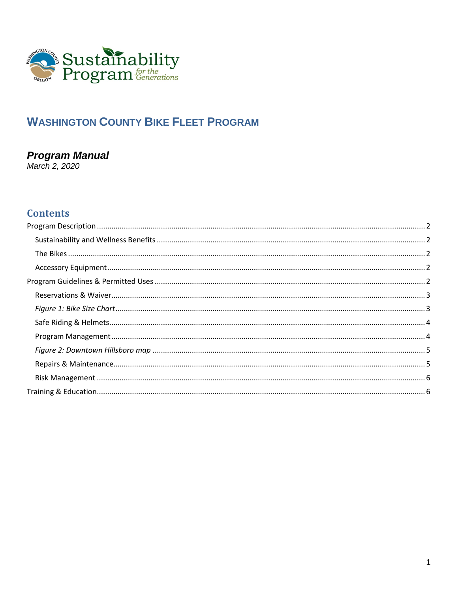

## **WASHINGTON COUNTY BIKE FLEET PROGRAM**

# **Program Manual**<br>March 2, 2020

## **Contents**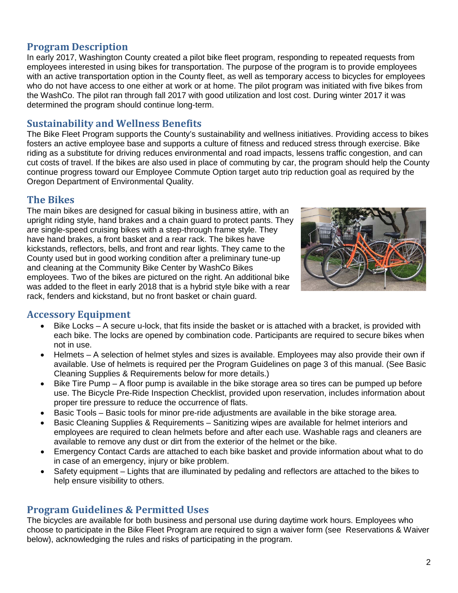## <span id="page-1-0"></span>**Program Description**

In early 2017, Washington County created a pilot bike fleet program, responding to repeated requests from employees interested in using bikes for transportation. The purpose of the program is to provide employees with an active transportation option in the County fleet, as well as temporary access to bicycles for employees who do not have access to one either at work or at home. The pilot program was initiated with five bikes from the WashCo. The pilot ran through fall 2017 with good utilization and lost cost. During winter 2017 it was determined the program should continue long-term.

#### <span id="page-1-1"></span>**Sustainability and Wellness Benefits**

The Bike Fleet Program supports the County's sustainability and wellness initiatives. Providing access to bikes fosters an active employee base and supports a culture of fitness and reduced stress through exercise. Bike riding as a substitute for driving reduces environmental and road impacts, lessens traffic congestion, and can cut costs of travel. If the bikes are also used in place of commuting by car, the program should help the County continue progress toward our Employee Commute Option target auto trip reduction goal as required by the Oregon Department of Environmental Quality.

#### <span id="page-1-2"></span>**The Bikes**

The main bikes are designed for casual biking in business attire, with an upright riding style, hand brakes and a chain guard to protect pants. They are single-speed cruising bikes with a step-through frame style. They have hand brakes, a front basket and a rear rack. The bikes have kickstands, reflectors, bells, and front and rear lights. They came to the County used but in good working condition after a preliminary tune-up and cleaning at the Community Bike Center by WashCo Bikes employees. Two of the bikes are pictured on the right. An additional bike was added to the fleet in early 2018 that is a hybrid style bike with a rear rack, fenders and kickstand, but no front basket or chain guard.



## <span id="page-1-3"></span>**Accessory Equipment**

- Bike Locks A secure u-lock, that fits inside the basket or is attached with a bracket, is provided with each bike. The locks are opened by combination code. Participants are required to secure bikes when not in use.
- Helmets A selection of helmet styles and sizes is available. Employees may also provide their own if available. Use of helmets is required per the Program Guidelines on page 3 of this manual. (See Basic Cleaning Supplies & Requirements below for more details.)
- Bike Tire Pump A floor pump is available in the bike storage area so tires can be pumped up before use. The Bicycle Pre-Ride Inspection Checklist, provided upon reservation, includes information about proper tire pressure to reduce the occurrence of flats.
- Basic Tools Basic tools for minor pre-ride adjustments are available in the bike storage area.
- Basic Cleaning Supplies & Requirements Sanitizing wipes are available for helmet interiors and employees are required to clean helmets before and after each use. Washable rags and cleaners are available to remove any dust or dirt from the exterior of the helmet or the bike.
- Emergency Contact Cards are attached to each bike basket and provide information about what to do in case of an emergency, injury or bike problem.
- Safety equipment Lights that are illuminated by pedaling and reflectors are attached to the bikes to help ensure visibility to others.

## <span id="page-1-4"></span>**Program Guidelines & Permitted Uses**

The bicycles are available for both business and personal use during daytime work hours. Employees who choose to participate in the Bike Fleet Program are required to sign a waiver form (see Reservations & Waiver below), acknowledging the rules and risks of participating in the program.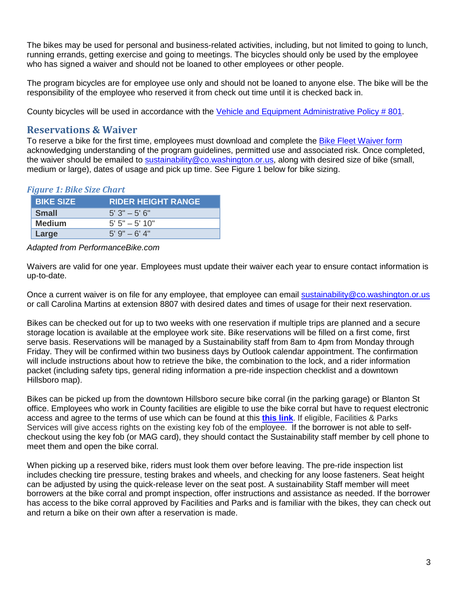The bikes may be used for personal and business-related activities, including, but not limited to going to lunch, running errands, getting exercise and going to meetings. The bicycles should only be used by the employee who has signed a waiver and should not be loaned to other employees or other people.

The program bicycles are for employee use only and should not be loaned to anyone else. The bike will be the responsibility of the employee who reserved it from check out time until it is checked back in.

<span id="page-2-0"></span>County bicycles will be used in accordance with the [Vehicle and Equipment Administrative Policy # 801.](http://www.co.washington.or.us/Support_Services/administrative-policies.cfm)

#### **Reservations & Waiver**

To reserve a bike for the first time, employees must download and complete the [Bike Fleet Waiver form](https://www.co.washington.or.us/Support_Services/Sustainability/upload/Bike-Fleet-Program-Waiver-Fillable_Static.pdf) acknowledging understanding of the program guidelines, permitted use and associated risk. Once completed, the waiver should be emailed to [sustainability@co.washington.or.us,](mailto:sustainability@co.washington.or.us) along with desired size of bike (small, medium or large), dates of usage and pick up time. See Figure 1 below for bike sizing.

#### <span id="page-2-1"></span>*Figure 1: Bike Size Chart*

| <b>BIKE SIZE</b> | <b>RIDER HEIGHT RANGE</b> |
|------------------|---------------------------|
| <b>Small</b>     | $5'3" - 5'6"$             |
| <b>Medium</b>    | $5' 5'' - 5' 10''$        |
| Large            | $5'$ 9" $-$ 6' 4"         |

*Adapted from PerformanceBike.com*

Waivers are valid for one year. Employees must update their waiver each year to ensure contact information is up-to-date.

Once a current waiver is on file for any employee, that employee can email [sustainability@co.washington.or.us](mailto:sustainability@co.washington.or.us) or call Carolina Martins at extension 8807 with desired dates and times of usage for their next reservation.

Bikes can be checked out for up to two weeks with one reservation if multiple trips are planned and a secure storage location is available at the employee work site. Bike reservations will be filled on a first come, first serve basis. Reservations will be managed by a Sustainability staff from 8am to 4pm from Monday through Friday. They will be confirmed within two business days by Outlook calendar appointment. The confirmation will include instructions about how to retrieve the bike, the combination to the lock, and a rider information packet (including safety tips, general riding information a pre-ride inspection checklist and a downtown Hillsboro map).

Bikes can be picked up from the downtown Hillsboro secure bike corral (in the parking garage) or Blanton St office. Employees who work in County facilities are eligible to use the bike corral but have to request electronic access and agree to the terms of use which can be found at this **[this link](https://app.smartsheet.com/b/publish?EQBCT=46264a4383964bef9a19f792c25fa8f8)**. If eligible, Facilities & Parks Services will give access rights on the existing key fob of the employee. If the borrower is not able to selfcheckout using the key fob (or MAG card), they should contact the Sustainability staff member by cell phone to meet them and open the bike corral.

When picking up a reserved bike, riders must look them over before leaving. The pre-ride inspection list includes checking tire pressure, testing brakes and wheels, and checking for any loose fasteners. Seat height can be adjusted by using the quick-release lever on the seat post. A sustainability Staff member will meet borrowers at the bike corral and prompt inspection, offer instructions and assistance as needed. If the borrower has access to the bike corral approved by Facilities and Parks and is familiar with the bikes, they can check out and return a bike on their own after a reservation is made.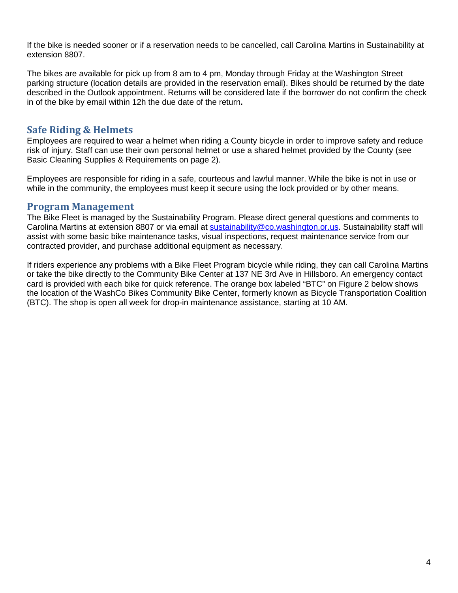If the bike is needed sooner or if a reservation needs to be cancelled, call Carolina Martins in Sustainability at extension 8807.

The bikes are available for pick up from 8 am to 4 pm, Monday through Friday at the Washington Street parking structure (location details are provided in the reservation email). Bikes should be returned by the date described in the Outlook appointment. Returns will be considered late if the borrower do not confirm the check in of the bike by email within 12h the due date of the return**.**

## <span id="page-3-0"></span>**Safe Riding & Helmets**

Employees are required to wear a helmet when riding a County bicycle in order to improve safety and reduce risk of injury. Staff can use their own personal helmet or use a shared helmet provided by the County (see Basic Cleaning Supplies & Requirements on page 2).

Employees are responsible for riding in a safe, courteous and lawful manner. While the bike is not in use or while in the community, the employees must keep it secure using the lock provided or by other means.

#### <span id="page-3-1"></span>**Program Management**

The Bike Fleet is managed by the Sustainability Program. Please direct general questions and comments to Carolina Martins at extension 8807 or via email at [sustainability@co.washington.or.us.](mailto:sustainability@co.washington.or.us) Sustainability staff will assist with some basic bike maintenance tasks, visual inspections, request maintenance service from our contracted provider, and purchase additional equipment as necessary.

If riders experience any problems with a Bike Fleet Program bicycle while riding, they can call Carolina Martins or take the bike directly to the Community Bike Center at 137 NE 3rd Ave in Hillsboro. An emergency contact card is provided with each bike for quick reference. The orange box labeled "BTC" on Figure 2 below shows the location of the WashCo Bikes Community Bike Center, formerly known as Bicycle Transportation Coalition (BTC). The shop is open all week for drop-in maintenance assistance, starting at 10 AM.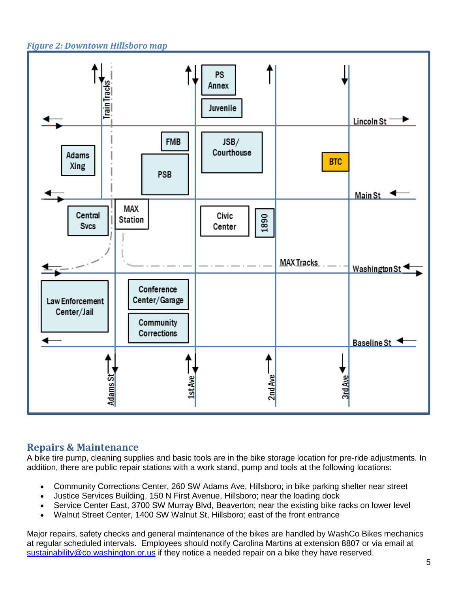<span id="page-4-0"></span>*Figure 2: Downtown Hillsboro map*



## <span id="page-4-1"></span>**Repairs & Maintenance**

A bike tire pump, cleaning supplies and basic tools are in the bike storage location for pre-ride adjustments. In addition, there are public repair stations with a work stand, pump and tools at the following locations:

- Community Corrections Center, 260 SW Adams Ave, Hillsboro; in bike parking shelter near street
- Justice Services Building, 150 N First Avenue, Hillsboro; near the loading dock
- Service Center East, 3700 SW Murray Blvd, Beaverton; near the existing bike racks on lower level
- Walnut Street Center, 1400 SW Walnut St, Hillsboro; east of the front entrance

Major repairs, safety checks and general maintenance of the bikes are handled by WashCo Bikes mechanics at regular scheduled intervals. Employees should notify Carolina Martins at extension 8807 or via email at [sustainability@co.washington.or.us](mailto:sustainability@co.washington.or.us) if they notice a needed repair on a bike they have reserved.